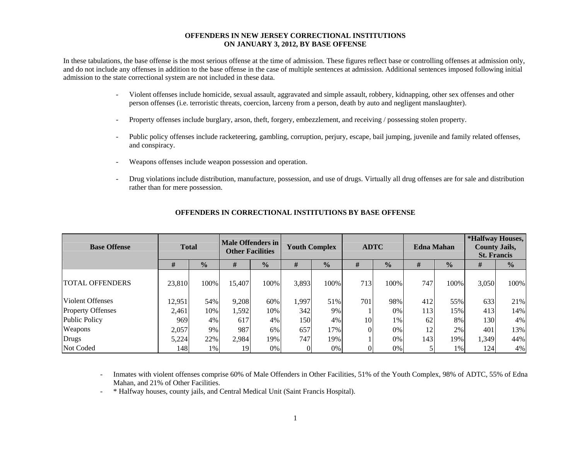#### **OFFENDERS IN NEW JERSEY CORRECTIONAL INSTITUTIONS ON JANUARY 3, 2012, BY BASE OFFENSE**

In these tabulations, the base offense is the most serious offense at the time of admission. These figures reflect base or controlling offenses at admission only, and do not include any offenses in addition to the base offense in the case of multiple sentences at admission. Additional sentences imposed following initial admission to the state correctional system are not included in these data.

- - Violent offenses include homicide, sexual assault, aggravated and simple assault, robbery, kidnapping, other sex offenses and other person offenses (i.e. terroristic threats, coercion, larceny from a person, death by auto and negligent manslaughter).
- Property offenses include burglary, arson, theft, forgery, embezzlement, and receiving / possessing stolen property.
- Public policy offenses include racketeering, gambling, corruption, perjury, escape, bail jumping, juvenile and family related offenses, and conspiracy.
- Weapons offenses include weapon possession and operation.
- Drug violations include distribution, manufacture, possession, and use of drugs. Virtually all drug offenses are for sale and distribution rather than for mere possession.

| <b>Base Offense</b>      | <b>Total</b> |               | Male Offenders in<br><b>Other Facilities</b> |               | <b>Youth Complex</b> |               |     | <b>ADTC</b>   | <b>Edna Mahan</b> |               | *Halfway Houses,<br><b>County Jails,</b><br><b>St. Francis</b> |               |
|--------------------------|--------------|---------------|----------------------------------------------|---------------|----------------------|---------------|-----|---------------|-------------------|---------------|----------------------------------------------------------------|---------------|
|                          | #            | $\frac{0}{0}$ | #                                            | $\frac{0}{0}$ | #                    | $\frac{1}{2}$ | #   | $\frac{0}{0}$ | #                 | $\frac{0}{0}$ | #                                                              | $\frac{0}{0}$ |
| <b>TOTAL OFFENDERS</b>   | 23,810       | 100%          | 15,407                                       | 100%          | 3,893                | 100%          | 713 | 100%          | 747               | 100%          | 3,050                                                          | 100%          |
| <b>Violent Offenses</b>  | 12,951       | 54%           | 9,208                                        | 60%           | 1,997                | 51%           | 701 | 98%           | 412               | 55%           | 633                                                            | 21%           |
| <b>Property Offenses</b> | 2,461        | 10%           | 1,592                                        | 10%           | 342                  | 9%            |     | 0%            | 113               | 15%           | 413                                                            | 14%           |
| Public Policy            | 969          | 4%            | 617                                          | 4%            | 150                  | 4%            | 10  | 1%            | 62                | 8%            | <b>130</b>                                                     | 4%            |
| Weapons                  | 2,057        | 9%            | 987                                          | 6%            | 657                  | 17%           |     | 0%            | 12                | 2%            | 401                                                            | 13%           |
| Drugs                    | 5,224        | 22%           | 2,984                                        | 19%           | 747                  | 19%           |     | 0%            | 143               | 19%           | 1,349                                                          | 44%           |
| Not Coded                | 148          | 1%            | 19                                           | 0%            |                      | 0%            |     | 0%            |                   | 1%            | 124                                                            | 4%            |

### **OFFENDERS IN CORRECTIONAL INSTITUTIONS BY BASE OFFENSE**

 Inmates with violent offenses comprise 60% of Male Offenders in Other Facilities, 51% of the Youth Complex, 98% of ADTC, 55% of Edna Mahan, and 21% of Other Facilities.

\* Halfway houses, county jails, and Central Medical Unit (Saint Francis Hospital).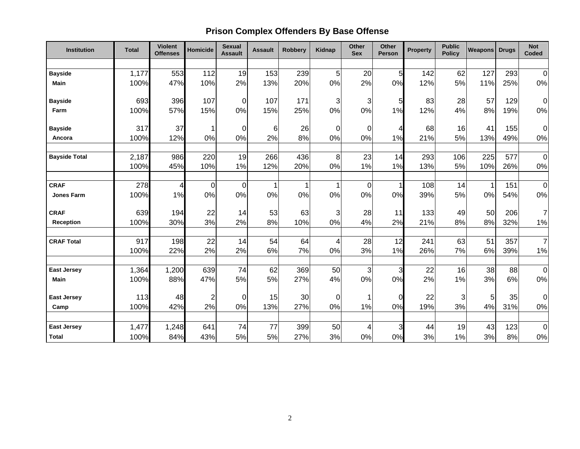# **Prison Complex Offenders By Base Offense**

| Institution          | <b>Total</b> | <b>Violent</b><br><b>Offenses</b> | <b>Homicide</b> | <b>Sexual</b><br><b>Assault</b> | <b>Assault</b> | <b>Robbery</b> | <b>Kidnap</b>            | Other<br><b>Sex</b> | Other<br>Person | <b>Property</b> | <b>Public</b><br><b>Policy</b> | <b>Weapons</b> | <b>Drugs</b> | <b>Not</b><br>Coded |
|----------------------|--------------|-----------------------------------|-----------------|---------------------------------|----------------|----------------|--------------------------|---------------------|-----------------|-----------------|--------------------------------|----------------|--------------|---------------------|
|                      |              |                                   |                 |                                 |                |                |                          |                     |                 |                 |                                |                |              |                     |
| <b>Bayside</b>       | 1,177        | 553                               | 112             | 19                              | 153            | 239            | 5                        | 20                  | 5               | 142             | 62                             | 127            | 293          | $\mathbf 0$         |
| <b>Main</b>          | 100%         | 47%                               | 10%             | 2%                              | 13%            | 20%            | 0%                       | 2%                  | 0%              | 12%             | 5%                             | 11%            | 25%          | $0\%$               |
|                      |              |                                   |                 |                                 |                |                |                          |                     |                 |                 |                                |                |              |                     |
| <b>Bayside</b>       | 693          | 396                               | 107             | $\overline{0}$                  | 107            | 171            | 3                        | 3                   | 5               | 83              | 28                             | 57             | 129          | $\mathbf 0$         |
| Farm                 | 100%         | 57%                               | 15%             | 0%                              | 15%            | 25%            | 0%                       | 0%                  | 1%              | 12%             | 4%                             | 8%             | 19%          | 0%                  |
|                      |              |                                   |                 |                                 |                |                |                          |                     |                 |                 |                                |                |              |                     |
| <b>Bayside</b>       | 317          | 37                                | 1               | $\overline{O}$<br>0%            | 6              | 26             | 0<br>0%                  | 0                   | 4               | 68              | 16                             | 41             | 155          | 0                   |
| Ancora               | 100%         | 12%                               | 0%              |                                 | 2%             | 8%             |                          | 0%                  | 1%              | 21%             | 5%                             | 13%            | 49%          | 0%                  |
|                      | 2,187        | 986                               | 220             | 19                              | 266            | 436            | 8                        | 23                  | 14              | 293             | 106                            | 225            | 577          | $\mathbf 0$         |
| <b>Bayside Total</b> | 100%         | 45%                               | 10%             | 1%                              | 12%            | 20%            | 0%                       | 1%                  | 1%              | 13%             | 5%                             | 10%            | 26%          | 0%                  |
|                      |              |                                   |                 |                                 |                |                |                          |                     |                 |                 |                                |                |              |                     |
| <b>CRAF</b>          | 278          | $\overline{4}$                    | $\overline{0}$  | $\overline{0}$                  | $\mathbf 1$    |                | 1                        | $\pmb{0}$           |                 | 108             | 14                             | 1              | 151          | $\mathbf 0$         |
| <b>Jones Farm</b>    | 100%         | 1%                                | 0%              | 0%                              | 0%             | 0%             | 0%                       | 0%                  | 0%              | 39%             | 5%                             | 0%             | 54%          | 0%                  |
|                      |              |                                   |                 |                                 |                |                |                          |                     |                 |                 |                                |                |              |                     |
| <b>CRAF</b>          | 639          | 194                               | 22              | 14                              | 53             | 63             | 3                        | 28                  | 11              | 133             | 49                             | 50             | 206          | 7                   |
| <b>Reception</b>     | 100%         | 30%                               | 3%              | 2%                              | 8%             | 10%            | 0%                       | 4%                  | 2%              | 21%             | 8%                             | 8%             | 32%          | $1\%$               |
|                      |              |                                   |                 |                                 |                |                |                          |                     |                 |                 |                                |                |              |                     |
| <b>CRAF Total</b>    | 917          | 198                               | 22              | 14                              | 54             | 64             | $\overline{\mathcal{A}}$ | 28                  | 12              | 241             | 63                             | 51             | 357          | $\overline{7}$      |
|                      | 100%         | 22%                               | 2%              | 2%                              | 6%             | 7%             | 0%                       | 3%                  | 1%              | 26%             | 7%                             | 6%             | 39%          | 1%                  |
|                      |              |                                   |                 |                                 |                |                |                          |                     |                 |                 |                                |                |              |                     |
| <b>East Jersey</b>   | 1,364        | 1,200                             | 639             | 74                              | 62             | 369            | 50                       | $\mathbf{3}$        | 3               | 22              | 16                             | 38             | 88           | $\overline{0}$      |
| Main                 | 100%         | 88%                               | 47%             | 5%                              | 5%             | 27%            | 4%                       | 0%                  | 0%              | 2%              | 1%                             | 3%             | 6%           | 0%                  |
|                      |              |                                   |                 |                                 |                |                |                          |                     |                 |                 |                                |                |              |                     |
| <b>East Jersey</b>   | 113          | 48                                | $\overline{c}$  | 0                               | 15             | 30             | $\mathbf 0$              | 1                   | 0               | 22              | 3                              | 5              | 35           | 0                   |
| Camp                 | 100%         | 42%                               | 2%              | 0%                              | 13%            | 27%            | 0%                       | 1%                  | 0%              | 19%             | 3%                             | 4%             | 31%          | 0%                  |
|                      |              |                                   |                 |                                 |                |                |                          |                     |                 |                 |                                |                |              |                     |
| <b>East Jersey</b>   | 1,477        | 1,248                             | 641             | 74                              | 77             | 399            | 50                       | 4                   | $\mathbf{3}$    | 44              | 19                             | 43             | 123          | $\mathbf 0$         |
| <b>Total</b>         | 100%         | 84%                               | 43%             | 5%                              | 5%             | 27%            | 3%                       | 0%                  | 0%              | 3%              | 1%                             | 3%             | 8%           | $0\%$               |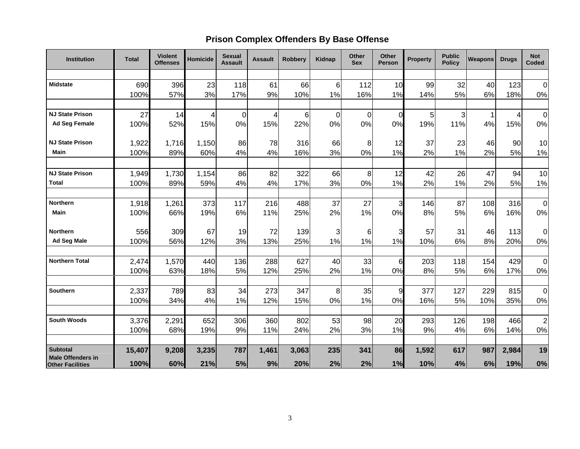# **Prison Complex Offenders By Base Offense**

| <b>Institution</b>                                  | <b>Total</b>  | <b>Violent</b><br><b>Offenses</b> | Homicide     | <b>Sexual</b><br><b>Assault</b> | <b>Assault</b> | <b>Robbery</b> | Kidnap   | <b>Other</b><br><b>Sex</b> | Other<br><b>Person</b> | <b>Property</b> | <b>Public</b><br><b>Policy</b> | <b>Weapons</b> | <b>Drugs</b> | <b>Not</b><br>Coded |
|-----------------------------------------------------|---------------|-----------------------------------|--------------|---------------------------------|----------------|----------------|----------|----------------------------|------------------------|-----------------|--------------------------------|----------------|--------------|---------------------|
|                                                     |               |                                   |              |                                 |                |                |          |                            |                        |                 |                                |                |              |                     |
| <b>Midstate</b>                                     | 690           | 396                               | 23           | 118                             | 61             | 66             | 6        | 112                        | 10                     | 99              | 32                             | 40             | 123          | $\overline{0}$      |
|                                                     | 100%          | 57%                               | 3%           | 17%                             | 9%             | 10%            | 1%       | 16%                        | 1%                     | 14%             | 5%                             | 6%             | 18%          | $0\%$               |
| <b>NJ State Prison</b>                              | 27            | 14                                | 4            | 0                               | 4              | 6              | $\Omega$ | $\mathbf 0$                | $\Omega$               | 5               | 3                              |                | 4            | $\overline{0}$      |
| <b>Ad Seg Female</b>                                | 100%          | 52%                               | 15%          | 0%                              | 15%            | 22%            | 0%       | 0%                         | 0%                     | 19%             | 11%                            | 4%             | 15%          | 0%                  |
| <b>NJ State Prison</b>                              | 1,922         | 1,716                             | 1,150        | 86                              | 78             | 316            | 66       | 8                          | 12                     | 37              | 23                             | 46             | 90           | 10                  |
| Main                                                | 100%          | 89%                               | 60%          | 4%                              | 4%             | 16%            | 3%       | 0%                         | 1%                     | 2%              | 1%                             | 2%             | 5%           | 1%                  |
| <b>NJ State Prison</b>                              |               |                                   |              | 86                              |                | 322            | 66       |                            |                        |                 |                                | 47             |              | 10                  |
| <b>Total</b>                                        | 1,949<br>100% | 1,730<br>89%                      | 1,154<br>59% | 4%                              | 82<br>4%       | 17%            | 3%       | 8<br>0%                    | 12<br>1%               | 42<br>2%        | 26<br>1%                       | 2%             | 94<br>5%     | 1%                  |
|                                                     |               |                                   |              |                                 |                |                |          |                            |                        |                 |                                |                |              |                     |
| Northern                                            | 1,918         | 1,261                             | 373          | 117                             | 216            | 488            | 37       | 27                         | 3                      | 146             | 87                             | 108            | 316          | 0                   |
| Main                                                | 100%          | 66%                               | 19%          | 6%                              | 11%            | 25%            | 2%       | 1%                         | 0%                     | 8%              | 5%                             | 6%             | 16%          | $0\%$               |
| <b>Northern</b>                                     | 556           | 309                               | 67           | 19                              | 72             | 139            | 3        | 6                          | 3                      | 57              | 31                             | 46             | 113          | 0                   |
| Ad Seg Male                                         | 100%          | 56%                               | 12%          | 3%                              | 13%            | 25%            | 1%       | 1%                         | 1%                     | 10%             | 6%                             | 8%             | 20%          | 0%                  |
| <b>Northern Total</b>                               | 2,474         | 1,570                             | 440          | 136                             | 288            | 627            | 40       | 33                         | 6                      | 203             | 118                            | 154            | 429          | $\overline{0}$      |
|                                                     | 100%          | 63%                               | 18%          | 5%                              | 12%            | 25%            | 2%       | 1%                         | 0%                     | 8%              | 5%                             | 6%             | 17%          | 0%                  |
|                                                     |               |                                   |              |                                 |                |                |          |                            |                        |                 |                                |                |              |                     |
| <b>Southern</b>                                     | 2,337<br>100% | 789<br>34%                        | 83<br>4%     | 34<br>1%                        | 273<br>12%     | 347<br>15%     | 8<br>0%  | 35<br>1%                   | 9<br>0%                | 377<br>16%      | 127<br>5%                      | 229<br>10%     | 815<br>35%   | $\mathbf 0$<br>0%   |
|                                                     |               |                                   |              |                                 |                |                |          |                            |                        |                 |                                |                |              |                     |
| <b>South Woods</b>                                  | 3,376         | 2,291                             | 652          | 306                             | 360            | 802            | 53       | 98                         | 20                     | 293             | 126                            | 198            | 466          | $\overline{2}$      |
|                                                     | 100%          | 68%                               | 19%          | 9%                              | 11%            | 24%            | 2%       | 3%                         | 1%                     | 9%              | 4%                             | 6%             | 14%          | 0%                  |
| <b>Subtotal</b>                                     | 15,407        | 9,208                             | 3,235        | 787                             | 1,461          | 3,063          | 235      | 341                        | 86                     | 1,592           | 617                            | 987            | 2,984        | 19                  |
| <b>Male Offenders in</b><br><b>Other Facilities</b> | 100%          | 60%                               | 21%          | 5%                              | 9%             | 20%            | 2%       | 2%                         | 1%                     | 10%             | 4%                             | 6%             | 19%          | 0%                  |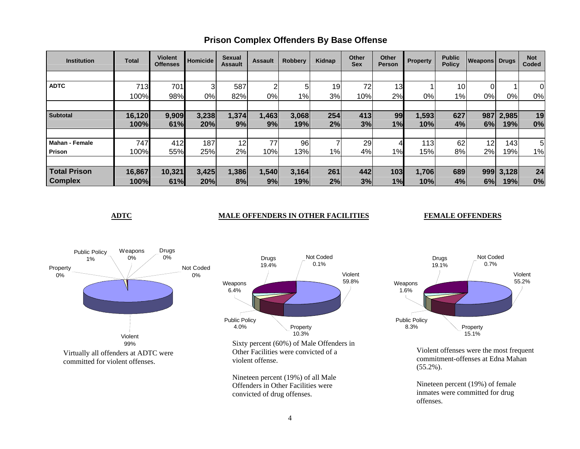| <b>Institution</b>    | <b>Total</b> | <b>Violent</b><br><b>Offenses</b> | Homicide | <b>Sexual</b><br><b>Assault</b> | <b>Assault</b> | <b>Robbery</b> | Kidnap | <b>Other</b><br><b>Sex</b> | Other<br><b>Person</b> | <b>Property</b> | <b>Public</b><br><b>Policy</b> | <b>Weapons Drugs</b> |       | <b>Not</b><br>Coded |
|-----------------------|--------------|-----------------------------------|----------|---------------------------------|----------------|----------------|--------|----------------------------|------------------------|-----------------|--------------------------------|----------------------|-------|---------------------|
|                       |              |                                   |          |                                 |                |                |        |                            |                        |                 |                                |                      |       |                     |
| <b>ADTC</b>           | 713          | 701                               | 3        | 587                             | ⌒              | 5              | 19     | 72                         | 13                     |                 | 10 <sub>1</sub>                | 0                    |       |                     |
|                       | 100%         | 98%                               | 0%       | 82%                             | 0%             | $1\%$          | 3%     | 10%                        | 2%                     | 0%l             | 1%                             | 0%                   | $0\%$ | 0%                  |
|                       |              |                                   |          |                                 |                |                |        |                            |                        |                 |                                |                      |       |                     |
| <b>Subtotal</b>       | 16,120       | 9,909                             | 3,238    | 1,374                           | ,463           | 3,068          | 254    | 413                        | 99                     | 1,593           | 627                            | 987                  | 2,985 | 19                  |
|                       | 100%         | 61%                               | 20%      | 9%                              | 9%             | 19%            | 2%     | 3%                         | 1%                     | 10%             | 4%                             | 6%                   | 19%   | 0%                  |
|                       |              |                                   |          |                                 |                |                |        |                            |                        |                 |                                |                      |       |                     |
| <b>Mahan - Female</b> | 747          | 412                               | 187      | 12                              | 77             | 96             |        | 29                         |                        | 113             | 62                             | 12                   | 143   | 5                   |
| Prison                | 100%         | 55%                               | 25%      | 2%                              | 10%            | 13%            | $1\%$  | 4%                         | 1%                     | 15%             | 8%                             | 2%                   | 19%   | 1%                  |
|                       |              |                                   |          |                                 |                |                |        |                            |                        |                 |                                |                      |       |                     |
| <b>Total Prison</b>   | 16,867       | 10,321                            | 3,425    | 1,386                           | 1,540          | 3,164          | 261    | 442                        | 103                    | 1,706           | 689                            | 999                  | 3,128 | 24                  |
| <b>Complex</b>        | 100%         | 61%                               | 20%      | 8%                              | 9%             | 19%            | 2%     | 3%                         | 1%                     | 10%             | 4%                             | 6%                   | 19%   | 0%                  |

# **Prison Complex Offenders By Base Offense**

#### **ADTC** MALE OFFENDERS IN OTHER FACILITIES

#### **FEMALE OFFENDERS**



Nineteen percent (19%) of all Male Offenders in Other Facilities were convicted of drug offenses.



Violent offenses were the most frequent commitment-offenses at Edna Mahan (55.2%).

Nineteen percent (19%) of female inmates were committed for drug offenses.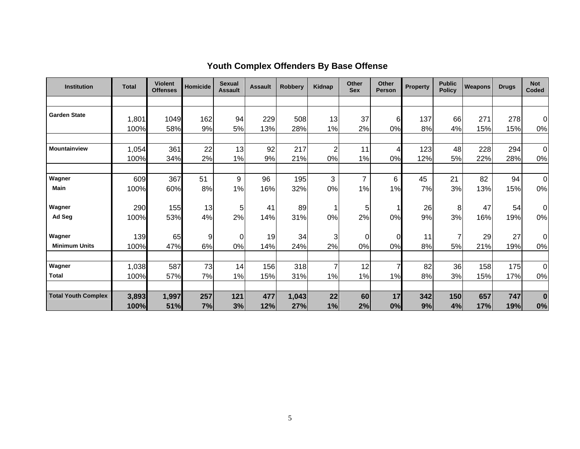| <b>Institution</b>         | <b>Total</b>  | <b>Violent</b><br><b>Offenses</b> | <b>Homicide</b> | <b>Sexual</b><br><b>Assault</b> | <b>Assault</b> | <b>Robberv</b> | Kidnap               | Other<br><b>Sex</b> | <b>Other</b><br><b>Person</b> | <b>Property</b> | <b>Public</b><br><b>Policy</b> | <b>Weapons</b> | <b>Drugs</b> | <b>Not</b><br>Coded  |
|----------------------------|---------------|-----------------------------------|-----------------|---------------------------------|----------------|----------------|----------------------|---------------------|-------------------------------|-----------------|--------------------------------|----------------|--------------|----------------------|
|                            |               |                                   |                 |                                 |                |                |                      |                     |                               |                 |                                |                |              |                      |
| <b>Garden State</b>        | 1,801         | 1049                              | 162             | 94                              | 229            | 508            | 13                   | 37                  | 6                             | 137             | 66                             | 271            | 278          | $\overline{0}$       |
|                            | 100%          | 58%                               | 9%              | 5%                              | 13%            | 28%            | 1%                   | 2%                  | 0%                            | 8%              | 4%                             | 15%            | 15%          | 0%                   |
|                            |               |                                   |                 |                                 |                |                |                      |                     |                               |                 |                                |                |              |                      |
| <b>Mountainview</b>        | 1,054<br>100% | 361<br>34%                        | 22<br>2%        | 13<br>1%                        | 92<br>9%       | 217<br>21%     | $\overline{c}$<br>0% | 11<br>1%            | 4<br>0%                       | 123<br>12%      | 48<br>5%                       | 228<br>22%     | 294<br>28%   | $\overline{0}$<br>0% |
|                            |               |                                   |                 |                                 |                |                |                      |                     |                               |                 |                                |                |              |                      |
| Wagner                     | 609           | 367                               | 51              | 9                               | 96             | 195            | 3                    | $\overline{7}$      | 6                             | 45              | 21                             | 82             | 94           | $\mathbf 0$          |
| <b>Main</b>                | 100%          | 60%                               | 8%              | $1\%$<br>1                      | 16%            | 32%            | 0%                   | 1%                  | 1%                            | 7%              | 3%                             | 13%            | 15%          | 0%                   |
| Wagner                     | 290           | 155                               | 13              | 5                               | 41             | 89             | 1                    | 5                   | 1 <sub>1</sub>                | 26              | 8                              | 47             | 54           | $\Omega$             |
| Ad Seg                     | 100%          | 53%                               | 4%              | 2%                              | 14%            | 31%            | 0%                   | 2%                  | 0%                            | 9%              | 3%                             | 16%            | 19%          | 0%                   |
| Wagner                     | 139           | 65                                | 9               | 0                               | 19             | 34             | 3                    | 0                   | $\overline{0}$                | 11              | $\overline{7}$                 | 29             | 27           | 0                    |
| <b>Minimum Units</b>       | 100%          | 47%                               | 6%              | 0%                              | 14%            | 24%            | 2%                   | 0%                  | 0%                            | 8%              | 5%                             | 21%            | 19%          | 0%                   |
| Wagner                     | 1,038         | 587                               | 73              | 14                              | 156            | 318            | 7                    | 12                  | $\overline{7}$                | 82              | 36                             | 158            | 175          | $\Omega$             |
| <b>Total</b>               | 100%          | 57%                               | 7%              | 1%                              | 15%            | 31%            | 1%                   | 1%                  | 1%                            | 8%              | 3%                             | 15%            | 17%          | 0%                   |
|                            |               |                                   |                 |                                 |                |                |                      |                     |                               |                 |                                |                |              |                      |
| <b>Total Youth Complex</b> | 3,893<br>100% | 1,997<br>51%                      | 257<br>7%       | 121<br>3%                       | 477<br>12%     | 1,043<br>27%   | 22<br>1%             | 60<br>2%            | 17<br>0%                      | 342<br>9%       | 150<br>4%                      | 657<br>17%     | 747<br>19%   | $\bf{0}$<br>0%       |

## **Youth Complex Offenders By Base Offense**